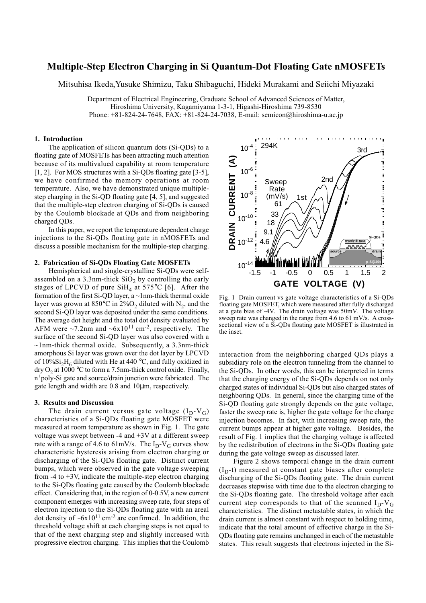# **Multiple-Step Electron Charging in Si Quantum-Dot Floating Gate nMOSFETs**

Mitsuhisa Ikeda,Yusuke Shimizu, Taku Shibaguchi, Hideki Murakami and Seiichi Miyazaki

Department of Electrical Engineering, Graduate School of Advanced Sciences of Matter, Hiroshima University, Kagamiyama 1-3-1, Higashi-Hiroshima 739-8530 Phone: +81-824-24-7648, FAX: +81-824-24-7038, E-mail: semicon@hiroshima-u.ac.jp

## **1. Introduction**

The application of silicon quantum dots (Si-QDs) to a floating gate of MOSFETs has been attracting much attention because of its multivalued capability at room temperature [1, 2]. For MOS structures with a Si-QDs floating gate [3-5], we have confirmed the memory operations at room temperature. Also, we have demonstrated unique multiplestep charging in the Si-QD floating gate [4, 5], and suggested that the multiple-step electron charging of Si-QDs is caused by the Coulomb blockade at QDs and from neighboring charged QDs.

In this paper, we report the temperature dependent charge injections to the Si-QDs floating gate in nMOSFETs and discuss a possible mechanism for the multiple-step charging.

#### **2. Fabrication of Si-QDs Floating Gate MOSFETs**

Hemispherical and single-crystalline Si-QDs were selfassembled on a 3.3nm-thick  $SiO<sub>2</sub>$  by controlling the early stages of LPCVD of pure  $SiH_4$  at 575°C [6]. After the formation of the first Si-QD layer, a ~1nm-thick thermal oxide layer was grown at 850°C in 2%O<sub>2</sub> diluted with N<sub>2</sub>, and the second Si-QD layer was deposited under the same conditions. The average dot height and the total dot density evaluated by AFM were  $\sim$ 7.2nm and  $\sim$ 6x10<sup>11</sup> cm<sup>-2</sup>, respectively. The surface of the second Si-QD layer was also covered with a  $\sim$ 1nm-thick thermal oxide. Subsequently, a 3.3nm-thick amorphous Si layer was grown over the dot layer by LPCVD of  $10\%Si_2H_6$  diluted with He at 440 °C, and fully oxidized in dry  $O_2$  at  $\overline{1000}$  °C to form a 7.5nm-thick control oxide. Finally, n+poly-Si gate and source/drain junction were fabricated. The gate length and width are 0.8 and 10µm, respectively.

### **3. Results and Discussion**

The drain current versus gate voltage  $(I_D-V_G)$ characteristics of a Si-QDs floating gate MOSFET were measured at room temperature as shown in Fig. 1. The gate voltage was swept between -4 and +3V at a different sweep rate with a range of 4.6 to 61mV/s. The  $I_D-V_G$  curves show characteristic hysteresis arising from electron charging or discharging of the Si-QDs floating gate. Distinct current bumps, which were observed in the gate voltage sweeping from  $-4$  to  $+3V$ , indicate the multiple-step electron charging to the Si-QDs floating gate caused by the Coulomb blockade effect. Considering that, in the region of 0-0.5V, a new current component emerges with increasing sweep rate, four steps of electron injection to the Si-QDs floating gate with an areal dot density of  $-6x10^{11}$  cm<sup>-2</sup> are confirmed. In addition, the threshold voltage shift at each charging steps is not equal to that of the next charging step and slightly increased with progressive electron charging. This implies that the Coulomb



Fig. 1 Drain current vs gate voltage characteristics of a Si-QDs floating gate MOSFET, which were measured after fully discharged at a gate bias of -4V. The drain voltage was 50mV. The voltage sweep rate was changed in the range from 4.6 to 61 mV/s. A crosssectional view of a Si-QDs floating gate MOSFET is illustrated in the inset.

interaction from the neighboring charged QDs plays a subsidiary role on the electron tunneling from the channel to the Si-QDs. In other words, this can be interpreted in terms that the charging energy of the Si-QDs depends on not only charged states of individual Si-QDs but also charged states of neighboring QDs. In general, since the charging time of the Si-QD floating gate strongly depends on the gate voltage, faster the sweep rate is, higher the gate voltage for the charge injection becomes. In fact, with increasing sweep rate, the current bumps appear at higher gate voltage. Besides, the result of Fig. 1 implies that the charging voltage is affected by the redistribution of electrons in the Si-QDs floating gate during the gate voltage sweep as discussed later.

Figure 2 shows temporal change in the drain current  $(I<sub>D</sub>-t)$  measured at constant gate biases after complete discharging of the Si-QDs floating gate. The drain current decreases stepwise with time due to the electron charging to the Si-QDs floating gate. The threshold voltage after each current step corresponds to that of the scanned  $I_D-V_G$ characteristics. The distinct metastable states, in which the drain current is almost constant with respect to holding time, indicate that the total amount of effective charge in the Si-QDs floating gate remains unchanged in each of the metastable states. This result suggests that electrons injected in the Si-